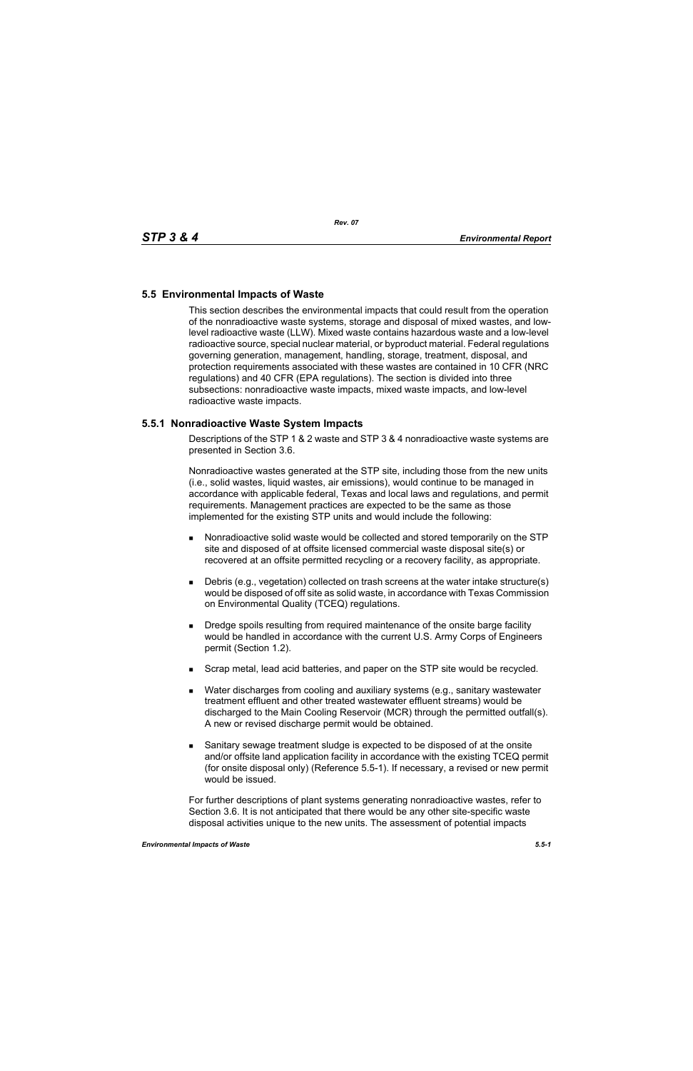## **5.5 Environmental Impacts of Waste**

This section describes the environmental impacts that could result from the operation of the nonradioactive waste systems, storage and disposal of mixed wastes, and lowlevel radioactive waste (LLW). Mixed waste contains hazardous waste and a low-level radioactive source, special nuclear material, or byproduct material. Federal regulations governing generation, management, handling, storage, treatment, disposal, and protection requirements associated with these wastes are contained in 10 CFR (NRC regulations) and 40 CFR (EPA regulations). The section is divided into three subsections: nonradioactive waste impacts, mixed waste impacts, and low-level radioactive waste impacts.

## **5.5.1 Nonradioactive Waste System Impacts**

Descriptions of the STP 1 & 2 waste and STP 3 & 4 nonradioactive waste systems are presented in Section 3.6.

Nonradioactive wastes generated at the STP site, including those from the new units (i.e., solid wastes, liquid wastes, air emissions), would continue to be managed in accordance with applicable federal, Texas and local laws and regulations, and permit requirements. Management practices are expected to be the same as those implemented for the existing STP units and would include the following:

- Nonradioactive solid waste would be collected and stored temporarily on the STP site and disposed of at offsite licensed commercial waste disposal site(s) or recovered at an offsite permitted recycling or a recovery facility, as appropriate.
- Debris (e.g., vegetation) collected on trash screens at the water intake structure(s) would be disposed of off site as solid waste, in accordance with Texas Commission on Environmental Quality (TCEQ) regulations.
- **Dredge spoils resulting from required maintenance of the onsite barge facility** would be handled in accordance with the current U.S. Army Corps of Engineers permit (Section 1.2).
- **Scrap metal, lead acid batteries, and paper on the STP site would be recycled.**
- Water discharges from cooling and auxiliary systems (e.g., sanitary wastewater treatment effluent and other treated wastewater effluent streams) would be discharged to the Main Cooling Reservoir (MCR) through the permitted outfall(s). A new or revised discharge permit would be obtained.
- Sanitary sewage treatment sludge is expected to be disposed of at the onsite and/or offsite land application facility in accordance with the existing TCEQ permit (for onsite disposal only) (Reference 5.5-1). If necessary, a revised or new permit would be issued.

For further descriptions of plant systems generating nonradioactive wastes, refer to Section 3.6. It is not anticipated that there would be any other site-specific waste disposal activities unique to the new units. The assessment of potential impacts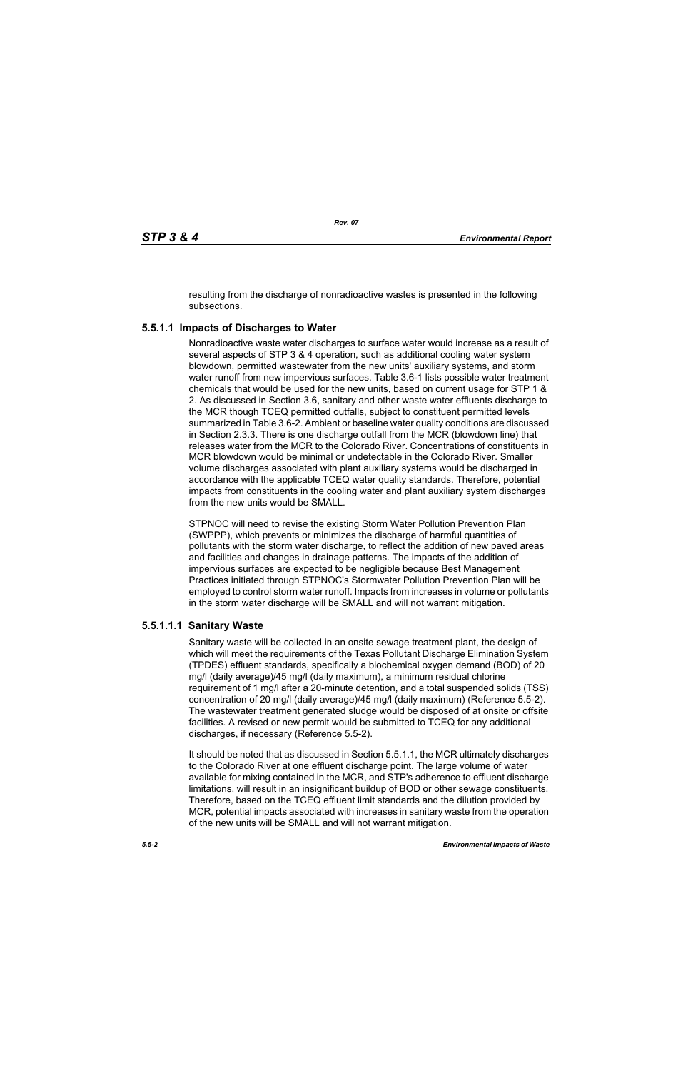resulting from the discharge of nonradioactive wastes is presented in the following subsections.

# **5.5.1.1 Impacts of Discharges to Water**

Nonradioactive waste water discharges to surface water would increase as a result of several aspects of STP 3 & 4 operation, such as additional cooling water system blowdown, permitted wastewater from the new units' auxiliary systems, and storm water runoff from new impervious surfaces. Table 3.6-1 lists possible water treatment chemicals that would be used for the new units, based on current usage for STP 1 & 2. As discussed in Section 3.6, sanitary and other waste water effluents discharge to the MCR though TCEQ permitted outfalls, subject to constituent permitted levels summarized in Table 3.6-2. Ambient or baseline water quality conditions are discussed in Section 2.3.3. There is one discharge outfall from the MCR (blowdown line) that releases water from the MCR to the Colorado River. Concentrations of constituents in MCR blowdown would be minimal or undetectable in the Colorado River. Smaller volume discharges associated with plant auxiliary systems would be discharged in accordance with the applicable TCEQ water quality standards. Therefore, potential impacts from constituents in the cooling water and plant auxiliary system discharges from the new units would be SMALL.

STPNOC will need to revise the existing Storm Water Pollution Prevention Plan (SWPPP), which prevents or minimizes the discharge of harmful quantities of pollutants with the storm water discharge, to reflect the addition of new paved areas and facilities and changes in drainage patterns. The impacts of the addition of impervious surfaces are expected to be negligible because Best Management Practices initiated through STPNOC's Stormwater Pollution Prevention Plan will be employed to control storm water runoff. Impacts from increases in volume or pollutants in the storm water discharge will be SMALL and will not warrant mitigation.

## **5.5.1.1.1 Sanitary Waste**

Sanitary waste will be collected in an onsite sewage treatment plant, the design of which will meet the requirements of the Texas Pollutant Discharge Elimination System (TPDES) effluent standards, specifically a biochemical oxygen demand (BOD) of 20 mg/l (daily average)/45 mg/l (daily maximum), a minimum residual chlorine requirement of 1 mg/l after a 20-minute detention, and a total suspended solids (TSS) concentration of 20 mg/l (daily average)/45 mg/l (daily maximum) (Reference 5.5-2). The wastewater treatment generated sludge would be disposed of at onsite or offsite facilities. A revised or new permit would be submitted to TCEQ for any additional discharges, if necessary (Reference 5.5-2).

It should be noted that as discussed in Section 5.5.1.1, the MCR ultimately discharges to the Colorado River at one effluent discharge point. The large volume of water available for mixing contained in the MCR, and STP's adherence to effluent discharge limitations, will result in an insignificant buildup of BOD or other sewage constituents. Therefore, based on the TCEQ effluent limit standards and the dilution provided by MCR, potential impacts associated with increases in sanitary waste from the operation of the new units will be SMALL and will not warrant mitigation.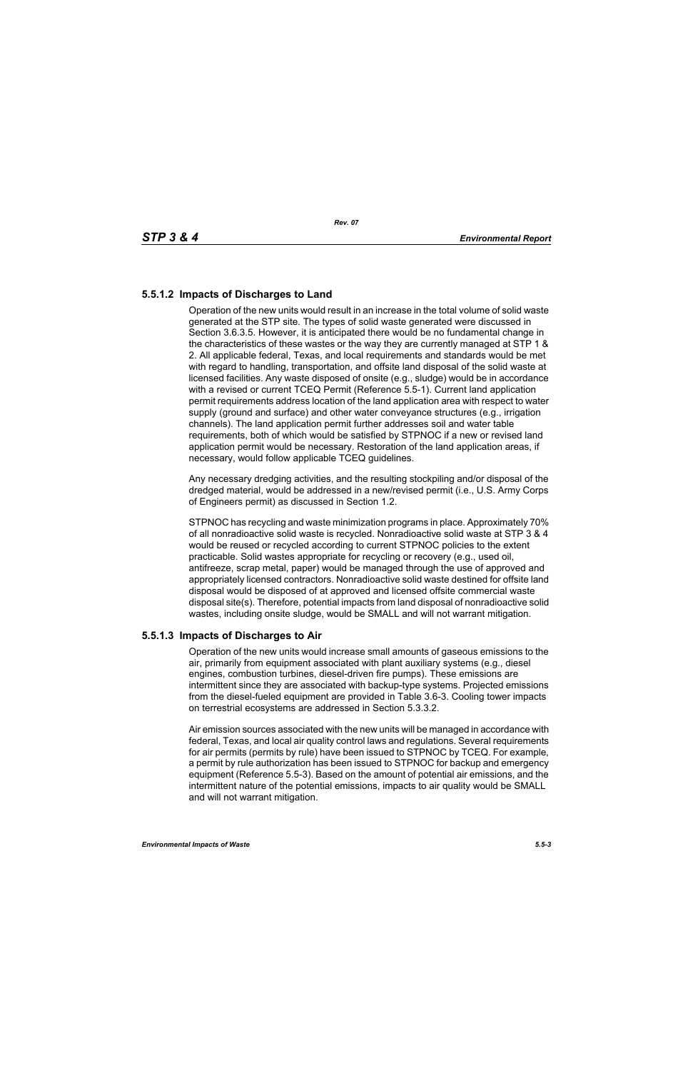# **5.5.1.2 Impacts of Discharges to Land**

Operation of the new units would result in an increase in the total volume of solid waste generated at the STP site. The types of solid waste generated were discussed in Section 3.6.3.5. However, it is anticipated there would be no fundamental change in the characteristics of these wastes or the way they are currently managed at STP 1 & 2. All applicable federal, Texas, and local requirements and standards would be met with regard to handling, transportation, and offsite land disposal of the solid waste at licensed facilities. Any waste disposed of onsite (e.g., sludge) would be in accordance with a revised or current TCEQ Permit (Reference 5.5-1). Current land application permit requirements address location of the land application area with respect to water supply (ground and surface) and other water conveyance structures (e.g., irrigation channels). The land application permit further addresses soil and water table requirements, both of which would be satisfied by STPNOC if a new or revised land application permit would be necessary. Restoration of the land application areas, if necessary, would follow applicable TCEQ guidelines.

Any necessary dredging activities, and the resulting stockpiling and/or disposal of the dredged material, would be addressed in a new/revised permit (i.e., U.S. Army Corps of Engineers permit) as discussed in Section 1.2.

STPNOC has recycling and waste minimization programs in place. Approximately 70% of all nonradioactive solid waste is recycled. Nonradioactive solid waste at STP 3 & 4 would be reused or recycled according to current STPNOC policies to the extent practicable. Solid wastes appropriate for recycling or recovery (e.g., used oil, antifreeze, scrap metal, paper) would be managed through the use of approved and appropriately licensed contractors. Nonradioactive solid waste destined for offsite land disposal would be disposed of at approved and licensed offsite commercial waste disposal site(s). Therefore, potential impacts from land disposal of nonradioactive solid wastes, including onsite sludge, would be SMALL and will not warrant mitigation.

## **5.5.1.3 Impacts of Discharges to Air**

Operation of the new units would increase small amounts of gaseous emissions to the air, primarily from equipment associated with plant auxiliary systems (e.g., diesel engines, combustion turbines, diesel-driven fire pumps). These emissions are intermittent since they are associated with backup-type systems. Projected emissions from the diesel-fueled equipment are provided in Table 3.6-3. Cooling tower impacts on terrestrial ecosystems are addressed in Section 5.3.3.2.

Air emission sources associated with the new units will be managed in accordance with federal, Texas, and local air quality control laws and regulations. Several requirements for air permits (permits by rule) have been issued to STPNOC by TCEQ. For example, a permit by rule authorization has been issued to STPNOC for backup and emergency equipment (Reference 5.5-3). Based on the amount of potential air emissions, and the intermittent nature of the potential emissions, impacts to air quality would be SMALL and will not warrant mitigation.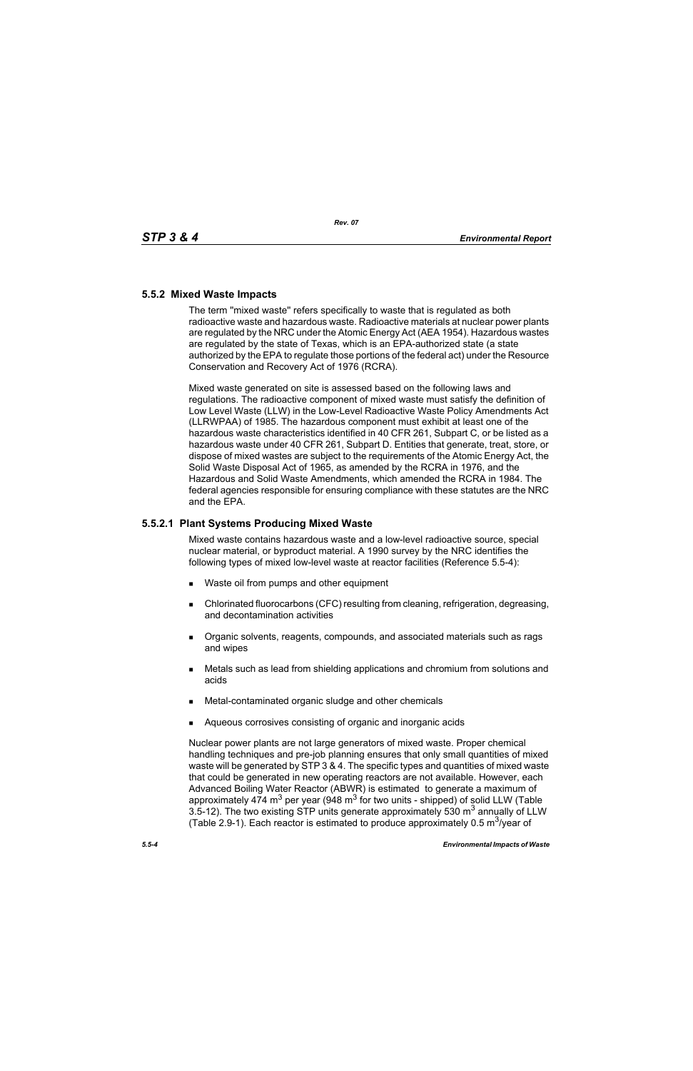## **5.5.2 Mixed Waste Impacts**

The term ''mixed waste'' refers specifically to waste that is regulated as both radioactive waste and hazardous waste. Radioactive materials at nuclear power plants are regulated by the NRC under the Atomic Energy Act (AEA 1954). Hazardous wastes are regulated by the state of Texas, which is an EPA-authorized state (a state authorized by the EPA to regulate those portions of the federal act) under the Resource Conservation and Recovery Act of 1976 (RCRA).

Mixed waste generated on site is assessed based on the following laws and regulations. The radioactive component of mixed waste must satisfy the definition of Low Level Waste (LLW) in the Low-Level Radioactive Waste Policy Amendments Act (LLRWPAA) of 1985. The hazardous component must exhibit at least one of the hazardous waste characteristics identified in 40 CFR 261, Subpart C, or be listed as a hazardous waste under 40 CFR 261, Subpart D. Entities that generate, treat, store, or dispose of mixed wastes are subject to the requirements of the Atomic Energy Act, the Solid Waste Disposal Act of 1965, as amended by the RCRA in 1976, and the Hazardous and Solid Waste Amendments, which amended the RCRA in 1984. The federal agencies responsible for ensuring compliance with these statutes are the NRC and the EPA.

## **5.5.2.1 Plant Systems Producing Mixed Waste**

Mixed waste contains hazardous waste and a low-level radioactive source, special nuclear material, or byproduct material. A 1990 survey by the NRC identifies the following types of mixed low-level waste at reactor facilities (Reference 5.5-4):

- Waste oil from pumps and other equipment
- Chlorinated fluorocarbons (CFC) resulting from cleaning, refrigeration, degreasing, and decontamination activities
- **Dreamic solvents, reagents, compounds, and associated materials such as rags** and wipes
- Metals such as lead from shielding applications and chromium from solutions and acids
- Metal-contaminated organic sludge and other chemicals
- Aqueous corrosives consisting of organic and inorganic acids

Nuclear power plants are not large generators of mixed waste. Proper chemical handling techniques and pre-job planning ensures that only small quantities of mixed waste will be generated by STP 3 & 4. The specific types and quantities of mixed waste that could be generated in new operating reactors are not available. However, each Advanced Boiling Water Reactor (ABWR) is estimated to generate a maximum of approximately 474 m<sup>3</sup> per year (948 m<sup>3</sup> for two units - shipped) of solid LLW (Table 3.5-12). The two existing STP units generate approximately 530  $m<sup>3</sup>$  annually of LLW (Table 2.9-1). Each reactor is estimated to produce approximately 0.5  $\mathrm{m}^3$ /year of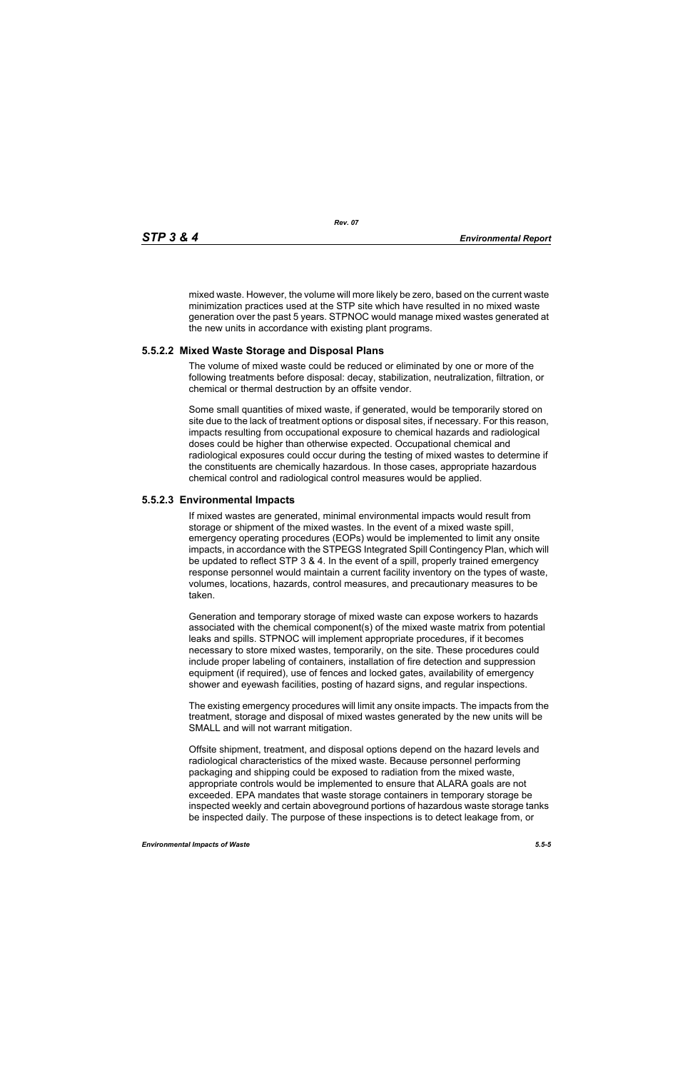mixed waste. However, the volume will more likely be zero, based on the current waste minimization practices used at the STP site which have resulted in no mixed waste generation over the past 5 years. STPNOC would manage mixed wastes generated at the new units in accordance with existing plant programs.

#### **5.5.2.2 Mixed Waste Storage and Disposal Plans**

The volume of mixed waste could be reduced or eliminated by one or more of the following treatments before disposal: decay, stabilization, neutralization, filtration, or chemical or thermal destruction by an offsite vendor.

Some small quantities of mixed waste, if generated, would be temporarily stored on site due to the lack of treatment options or disposal sites, if necessary. For this reason, impacts resulting from occupational exposure to chemical hazards and radiological doses could be higher than otherwise expected. Occupational chemical and radiological exposures could occur during the testing of mixed wastes to determine if the constituents are chemically hazardous. In those cases, appropriate hazardous chemical control and radiological control measures would be applied.

#### **5.5.2.3 Environmental Impacts**

If mixed wastes are generated, minimal environmental impacts would result from storage or shipment of the mixed wastes. In the event of a mixed waste spill, emergency operating procedures (EOPs) would be implemented to limit any onsite impacts, in accordance with the STPEGS Integrated Spill Contingency Plan, which will be updated to reflect STP 3 & 4. In the event of a spill, properly trained emergency response personnel would maintain a current facility inventory on the types of waste, volumes, locations, hazards, control measures, and precautionary measures to be taken.

Generation and temporary storage of mixed waste can expose workers to hazards associated with the chemical component(s) of the mixed waste matrix from potential leaks and spills. STPNOC will implement appropriate procedures, if it becomes necessary to store mixed wastes, temporarily, on the site. These procedures could include proper labeling of containers, installation of fire detection and suppression equipment (if required), use of fences and locked gates, availability of emergency shower and eyewash facilities, posting of hazard signs, and regular inspections.

The existing emergency procedures will limit any onsite impacts. The impacts from the treatment, storage and disposal of mixed wastes generated by the new units will be SMALL and will not warrant mitigation.

Offsite shipment, treatment, and disposal options depend on the hazard levels and radiological characteristics of the mixed waste. Because personnel performing packaging and shipping could be exposed to radiation from the mixed waste, appropriate controls would be implemented to ensure that ALARA goals are not exceeded. EPA mandates that waste storage containers in temporary storage be inspected weekly and certain aboveground portions of hazardous waste storage tanks be inspected daily. The purpose of these inspections is to detect leakage from, or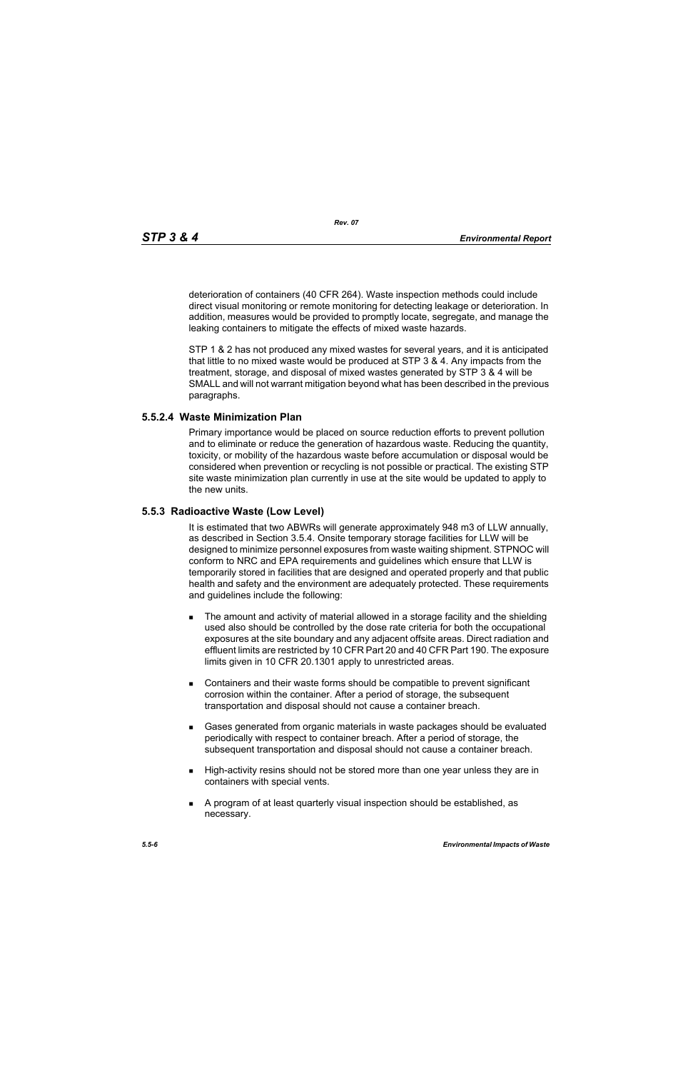deterioration of containers (40 CFR 264). Waste inspection methods could include direct visual monitoring or remote monitoring for detecting leakage or deterioration. In addition, measures would be provided to promptly locate, segregate, and manage the leaking containers to mitigate the effects of mixed waste hazards.

STP 1 & 2 has not produced any mixed wastes for several years, and it is anticipated that little to no mixed waste would be produced at STP 3 & 4. Any impacts from the treatment, storage, and disposal of mixed wastes generated by STP 3 & 4 will be SMALL and will not warrant mitigation beyond what has been described in the previous paragraphs.

#### **5.5.2.4 Waste Minimization Plan**

Primary importance would be placed on source reduction efforts to prevent pollution and to eliminate or reduce the generation of hazardous waste. Reducing the quantity, toxicity, or mobility of the hazardous waste before accumulation or disposal would be considered when prevention or recycling is not possible or practical. The existing STP site waste minimization plan currently in use at the site would be updated to apply to the new units.

#### **5.5.3 Radioactive Waste (Low Level)**

It is estimated that two ABWRs will generate approximately 948 m3 of LLW annually, as described in Section 3.5.4. Onsite temporary storage facilities for LLW will be designed to minimize personnel exposures from waste waiting shipment. STPNOC will conform to NRC and EPA requirements and guidelines which ensure that LLW is temporarily stored in facilities that are designed and operated properly and that public health and safety and the environment are adequately protected. These requirements and guidelines include the following:

- **The amount and activity of material allowed in a storage facility and the shielding** used also should be controlled by the dose rate criteria for both the occupational exposures at the site boundary and any adjacent offsite areas. Direct radiation and effluent limits are restricted by 10 CFR Part 20 and 40 CFR Part 190. The exposure limits given in 10 CFR 20.1301 apply to unrestricted areas.
- Containers and their waste forms should be compatible to prevent significant corrosion within the container. After a period of storage, the subsequent transportation and disposal should not cause a container breach.
- Gases generated from organic materials in waste packages should be evaluated periodically with respect to container breach. After a period of storage, the subsequent transportation and disposal should not cause a container breach.
- **High-activity resins should not be stored more than one year unless they are in** containers with special vents.
- A program of at least quarterly visual inspection should be established, as necessary.